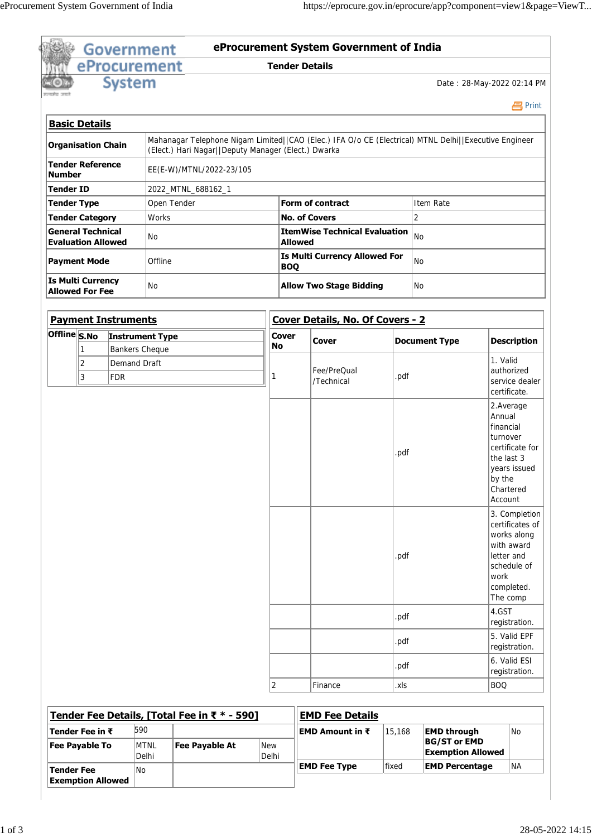| <b>Government</b><br>eProcurement                                    |                       |                                                                                                       |                |                                      | eProcurement System Government of India<br><b>Tender Details</b> |        |                                                 |            |                               |  |
|----------------------------------------------------------------------|-----------------------|-------------------------------------------------------------------------------------------------------|----------------|--------------------------------------|------------------------------------------------------------------|--------|-------------------------------------------------|------------|-------------------------------|--|
|                                                                      | <b>System</b>         |                                                                                                       |                |                                      |                                                                  |        | Date: 28-May-2022 02:14 PM                      |            |                               |  |
| एयप्रोड जया                                                          |                       |                                                                                                       |                |                                      |                                                                  |        |                                                 |            |                               |  |
|                                                                      |                       |                                                                                                       |                |                                      |                                                                  |        |                                                 |            | 昌 Print                       |  |
| <b>Basic Details</b>                                                 |                       | Mahanagar Telephone Nigam Limited  CAO (Elec.) IFA O/o CE (Electrical) MTNL Delhi  Executive Engineer |                |                                      |                                                                  |        |                                                 |            |                               |  |
| <b>Organisation Chain</b>                                            |                       | (Elect.) Hari Nagar  Deputy Manager (Elect.) Dwarka                                                   |                |                                      |                                                                  |        |                                                 |            |                               |  |
| <b>Tender Reference</b><br><b>Number</b>                             |                       | EE(E-W)/MTNL/2022-23/105                                                                              |                |                                      |                                                                  |        |                                                 |            |                               |  |
| Tender ID                                                            |                       | 2022_MTNL_688162_1                                                                                    |                |                                      |                                                                  |        |                                                 |            |                               |  |
| <b>Tender Type</b>                                                   |                       | Open Tender                                                                                           |                | <b>Form of contract</b><br>Item Rate |                                                                  |        |                                                 |            |                               |  |
| <b>Tender Category</b>                                               | Works                 |                                                                                                       |                |                                      | <b>No. of Covers</b>                                             |        | $\overline{2}$                                  |            |                               |  |
| <b>General Technical</b><br><b>Evaluation Allowed</b>                | No                    |                                                                                                       |                | <b>Allowed</b>                       | <b>ItemWise Technical Evaluation</b>                             |        | No                                              |            |                               |  |
| <b>Payment Mode</b><br>Offline                                       |                       |                                                                                                       |                | <b>BOQ</b>                           | <b>Is Multi Currency Allowed For</b><br>No                       |        |                                                 |            |                               |  |
| <b>Is Multi Currency</b><br><b>Allowed For Fee</b>                   | No                    |                                                                                                       |                |                                      | <b>Allow Two Stage Bidding</b>                                   |        | <b>No</b>                                       |            |                               |  |
|                                                                      |                       |                                                                                                       |                |                                      | Cover Details, No. Of Covers - 2                                 |        |                                                 |            |                               |  |
| <b>Payment Instruments</b><br>Offline S.No<br><b>Instrument Type</b> |                       |                                                                                                       | <b>Cover</b>   |                                      |                                                                  |        |                                                 |            |                               |  |
| 1                                                                    | <b>Bankers Cheque</b> |                                                                                                       |                | No                                   | Cover                                                            |        | <b>Document Type</b>                            |            | <b>Description</b>            |  |
| 2                                                                    | <b>Demand Draft</b>   |                                                                                                       |                |                                      |                                                                  |        |                                                 | 1. Valid   |                               |  |
| 3<br><b>FDR</b>                                                      |                       |                                                                                                       |                |                                      | Fee/PreQual<br>/Technical                                        | .pdf   |                                                 |            | authorized<br>service dealer  |  |
|                                                                      |                       |                                                                                                       |                |                                      |                                                                  |        |                                                 |            | certificate.                  |  |
|                                                                      |                       |                                                                                                       |                |                                      |                                                                  |        |                                                 |            | 2.Average                     |  |
|                                                                      |                       |                                                                                                       |                |                                      |                                                                  |        |                                                 | Annual     |                               |  |
|                                                                      |                       |                                                                                                       |                |                                      |                                                                  |        |                                                 | financial  |                               |  |
|                                                                      |                       |                                                                                                       |                |                                      |                                                                  |        |                                                 | turnover   |                               |  |
|                                                                      |                       |                                                                                                       |                |                                      |                                                                  | .pdf   |                                                 |            | certificate for               |  |
|                                                                      |                       |                                                                                                       |                |                                      |                                                                  |        |                                                 |            | the last 3<br>years issued    |  |
|                                                                      |                       |                                                                                                       |                |                                      |                                                                  |        |                                                 | by the     |                               |  |
|                                                                      |                       |                                                                                                       |                |                                      |                                                                  |        |                                                 |            | Chartered                     |  |
|                                                                      |                       |                                                                                                       |                |                                      |                                                                  |        |                                                 | Account    |                               |  |
|                                                                      |                       |                                                                                                       |                |                                      |                                                                  |        |                                                 |            | 3. Completion                 |  |
|                                                                      |                       |                                                                                                       |                |                                      |                                                                  |        |                                                 |            | certificates of               |  |
|                                                                      |                       |                                                                                                       |                |                                      |                                                                  |        |                                                 |            | works along                   |  |
|                                                                      |                       |                                                                                                       |                |                                      |                                                                  |        |                                                 |            | with award                    |  |
|                                                                      |                       |                                                                                                       |                |                                      |                                                                  | .pdf   |                                                 |            | letter and<br>schedule of     |  |
|                                                                      |                       |                                                                                                       |                |                                      |                                                                  |        |                                                 | work       |                               |  |
|                                                                      |                       |                                                                                                       |                |                                      |                                                                  |        |                                                 |            | completed.                    |  |
|                                                                      |                       |                                                                                                       |                |                                      |                                                                  |        |                                                 |            | The comp                      |  |
|                                                                      |                       |                                                                                                       |                |                                      |                                                                  | .pdf   |                                                 | 4.GST      | registration.                 |  |
|                                                                      |                       |                                                                                                       |                |                                      |                                                                  | .pdf   |                                                 |            | 5. Valid EPF<br>registration. |  |
|                                                                      |                       |                                                                                                       |                |                                      |                                                                  | .pdf   |                                                 |            | 6. Valid ESI<br>registration. |  |
|                                                                      |                       |                                                                                                       | $\overline{2}$ |                                      | Finance                                                          | .xls   |                                                 | <b>BOQ</b> |                               |  |
|                                                                      |                       | Tender Fee Details, [Total Fee in ₹ * - 590]                                                          |                |                                      | <b>EMD Fee Details</b>                                           |        |                                                 |            |                               |  |
| Tender Fee in $\bar{\tau}$                                           | 590                   |                                                                                                       |                |                                      | EMD Amount in ₹                                                  | 15,168 | <b>EMD through</b>                              |            | <b>No</b>                     |  |
| <b>Fee Payable To</b>                                                | <b>MTNL</b><br>Delhi  | <b>Fee Payable At</b>                                                                                 | New<br>Delhi   |                                      |                                                                  |        | <b>BG/ST or EMD</b><br><b>Exemption Allowed</b> |            |                               |  |
|                                                                      |                       |                                                                                                       |                |                                      | <b>EMD Fee Type</b>                                              | fixed  | <b>EMD Percentage</b>                           |            | <b>NA</b>                     |  |
| <b>Tender Fee</b><br><b>Exemption Allowed</b>                        | <b>No</b>             |                                                                                                       |                |                                      |                                                                  |        |                                                 |            |                               |  |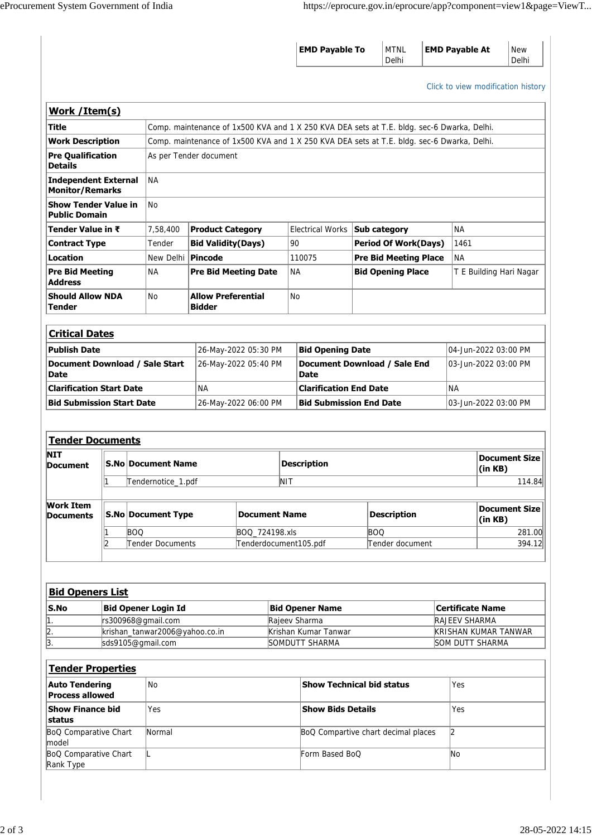|                                                                                              |   |                           |                                                                                            |                           |                                | <b>EMD Payable To</b>         |            | <b>MTNL</b><br>Delhi         |                      | <b>EMD Payable At</b> |         | <b>New</b><br>Delhi                |
|----------------------------------------------------------------------------------------------|---|---------------------------|--------------------------------------------------------------------------------------------|---------------------------|--------------------------------|-------------------------------|------------|------------------------------|----------------------|-----------------------|---------|------------------------------------|
|                                                                                              |   |                           |                                                                                            |                           |                                |                               |            |                              |                      |                       |         | Click to view modification history |
| Work /Item(s)                                                                                |   |                           |                                                                                            |                           |                                |                               |            |                              |                      |                       |         |                                    |
| Title                                                                                        |   |                           | Comp. maintenance of 1x500 KVA and 1 X 250 KVA DEA sets at T.E. bldg. sec-6 Dwarka, Delhi. |                           |                                |                               |            |                              |                      |                       |         |                                    |
| <b>Work Description</b>                                                                      |   |                           | Comp. maintenance of 1x500 KVA and 1 X 250 KVA DEA sets at T.E. bldg. sec-6 Dwarka, Delhi. |                           |                                |                               |            |                              |                      |                       |         |                                    |
| <b>Pre Qualification</b><br><b>Details</b>                                                   |   |                           | As per Tender document                                                                     |                           |                                |                               |            |                              |                      |                       |         |                                    |
| <b>Independent External</b><br><b>Monitor/Remarks</b>                                        |   |                           | <b>NA</b>                                                                                  |                           |                                |                               |            |                              |                      |                       |         |                                    |
| <b>Show Tender Value in</b><br><b>Public Domain</b>                                          |   |                           | <b>No</b>                                                                                  |                           |                                |                               |            |                              |                      |                       |         |                                    |
| Tender Value in ₹                                                                            |   |                           | 7,58,400                                                                                   | <b>Product Category</b>   |                                | <b>Electrical Works</b>       |            | Sub category                 |                      | <b>NA</b>             |         |                                    |
| <b>Contract Type</b>                                                                         |   |                           | Tender                                                                                     | <b>Bid Validity(Days)</b> |                                | 90                            |            | <b>Period Of Work(Days)</b>  |                      | 1461                  |         |                                    |
| Location                                                                                     |   |                           | New Delhi   Pincode                                                                        |                           |                                | 110075                        |            | <b>Pre Bid Meeting Place</b> |                      | <b>NA</b>             |         |                                    |
| <b>Pre Bid Meeting</b><br><b>Address</b>                                                     |   |                           | <b>NA</b><br><b>Pre Bid Meeting Date</b>                                                   |                           |                                | <b>NA</b>                     |            | <b>Bid Opening Place</b>     |                      |                       |         | T E Building Hari Nagar            |
| <b>Should Allow NDA</b><br><b>Allow Preferential</b><br><b>No</b><br><b>Bidder</b><br>Tender |   |                           | <b>No</b>                                                                                  |                           |                                |                               |            |                              |                      |                       |         |                                    |
| <b>Critical Dates</b>                                                                        |   |                           |                                                                                            |                           |                                |                               |            |                              |                      |                       |         |                                    |
| <b>Publish Date</b>                                                                          |   |                           |                                                                                            |                           | 26-May-2022 05:30 PM           | <b>Bid Opening Date</b>       |            |                              |                      | 04-Jun-2022 03:00 PM  |         |                                    |
| Document Download / Sale Start<br>Date                                                       |   |                           |                                                                                            | 26-May-2022 05:40 PM      | <b>Date</b>                    | Document Download / Sale End  |            |                              | 03-Jun-2022 03:00 PM |                       |         |                                    |
| <b>Clarification Start Date</b>                                                              |   |                           | <b>NA</b>                                                                                  |                           |                                | <b>Clarification End Date</b> |            |                              | <b>NA</b>            |                       |         |                                    |
| <b>Bid Submission Start Date</b>                                                             |   |                           |                                                                                            | 26-May-2022 06:00 PM      | <b>Bid Submission End Date</b> |                               |            | 03-Jun-2022 03:00 PM         |                      |                       |         |                                    |
|                                                                                              |   |                           |                                                                                            |                           |                                |                               |            |                              |                      |                       |         |                                    |
| <b>Tender Documents</b>                                                                      |   |                           |                                                                                            |                           |                                |                               |            |                              |                      |                       |         |                                    |
| NIT<br>Document                                                                              |   | <b>S.No Document Name</b> |                                                                                            |                           |                                | <b>Description</b>            |            |                              |                      |                       | (in KB) | <b>Document Size</b>               |
|                                                                                              | 1 |                           | Tendernotice_1.pdf                                                                         |                           |                                | NIT                           |            |                              |                      |                       |         | 114.84                             |
| <b>Work Item</b><br><b>Documents</b>                                                         |   |                           | <b>S.No Document Type</b>                                                                  |                           | <b>Document Name</b>           |                               |            | <b>Description</b>           |                      |                       | (in KB) | <b>Document Size</b>               |
|                                                                                              | 1 | <b>BOO</b>                |                                                                                            |                           | BOQ_724198.xls                 |                               | <b>BOO</b> |                              |                      |                       | 281.00  |                                    |
|                                                                                              | 2 |                           | <b>Tender Documents</b>                                                                    |                           | Tenderdocument105.pdf          |                               |            | Tender document              |                      |                       | 394.12  |                                    |

| Bid Openers List |                                |                        |                        |  |  |
|------------------|--------------------------------|------------------------|------------------------|--|--|
| S.No             | Bid Opener Login Id            | <b>Bid Opener Name</b> | Certificate Name       |  |  |
|                  | rs300968@gmail.com             | Rajeev Sharma          | <b>RAJEEV SHARMA</b>   |  |  |
| 2.               | krishan_tanwar2006@yahoo.co.in | Krishan Kumar Tanwar   | KRISHAN KUMAR TANWAR   |  |  |
| 3.               | sds9105@gmail.com              | <b>ISOMDUTT SHARMA</b> | <b>SOM DUTT SHARMA</b> |  |  |

| <b>Tender Properties</b>                        |               |                                     |     |  |
|-------------------------------------------------|---------------|-------------------------------------|-----|--|
| <b>Auto Tendering</b><br><b>Process allowed</b> | No            | <b>Show Technical bid status</b>    | Yes |  |
| <b>Show Finance bid</b><br>status               | Yes           | <b>Show Bids Details</b>            | Yes |  |
| BoQ Comparative Chart<br><b>model</b>           | <b>Normal</b> | BoQ Compartive chart decimal places |     |  |
| BoQ Comparative Chart<br>Rank Type              |               | Form Based BoO                      | lNo |  |